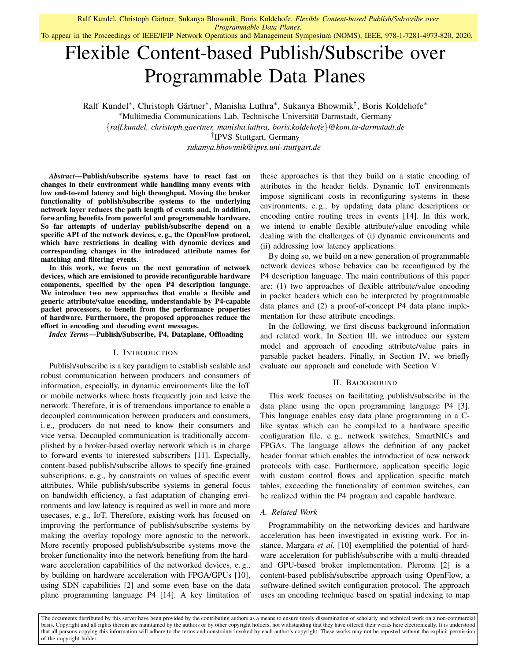To appear in the Proceedings of IEEE/IFIP Network Operations and Management Symposium (NOMS), IEEE, 978-1-7281-4973-820, 2020.

# Flexible Content-based Publish/Subscribe over Programmable Data Planes

Ralf Kundel\*, Christoph Gärtner\*, Manisha Luthra\*, Sukanya Bhowmik<sup>†</sup>, Boris Koldehofe\* <sup>∗</sup>Multimedia Communications Lab, Technische Universitat Darmstadt, Germany ¨ {*ralf.kundel, christoph.gaertner, manisha.luthra, boris.koldehofe*}*@kom.tu-darmstadt.de* † IPVS Stuttgart, Germany

*sukanya.bhowmik@ipvs.uni-stuttgart.de*

*Abstract*—Publish/subscribe systems have to react fast on changes in their environment while handling many events with low end-to-end latency and high throughput. Moving the broker functionality of publish/subscribe systems to the underlying network layer reduces the path length of events and, in addition, forwarding benefits from powerful and programmable hardware. So far attempts of underlay publish/subscribe depend on a specific API of the network devices, e. g., the OpenFlow protocol, which have restrictions in dealing with dynamic devices and corresponding changes in the introduced attribute names for matching and filtering events.

In this work, we focus on the next generation of network devices, which are envisioned to provide reconfigurable hardware components, specified by the open P4 description language. We introduce two new approaches that enable a flexible and generic attribute/value encoding, understandable by P4-capable packet processors, to benefit from the performance properties of hardware. Furthermore, the proposed approaches reduce the effort in encoding and decoding event messages.

*Index Terms*—Publish/Subscribe, P4, Dataplane, Offloading

## I. INTRODUCTION

Publish/subscribe is a key paradigm to establish scalable and robust communication between producers and consumers of information, especially, in dynamic environments like the IoT or mobile networks where hosts frequently join and leave the network. Therefore, it is of tremendous importance to enable a decoupled communication between producers and consumers, i. e., producers do not need to know their consumers and vice versa. Decoupled communication is traditionally accomplished by a broker-based overlay network which is in charge to forward events to interested subscribers [11]. Especially, content-based publish/subscribe allows to specify fine-grained subscriptions, e. g., by constraints on values of specific event attributes. While publish/subscribe systems in general focus on bandwidth efficiency, a fast adaptation of changing environments and low latency is required as well in more and more usecases, e. g., IoT. Therefore, existing work has focused on improving the performance of publish/subscribe systems by making the overlay topology more agnostic to the network. More recently proposed publish/subscribe systems move the broker functionality into the network benefiting from the hardware acceleration capabilities of the networked devices, e. g., by building on hardware acceleration with FPGA/GPUs [10], using SDN capabilities [2] and some even base on the data plane programming language P4 [14]. A key limitation of these approaches is that they build on a static encoding of attributes in the header fields. Dynamic IoT environments impose significant costs in reconfiguring systems in these environments, e. g., by updating data plane descriptions or encoding entire routing trees in events [14]. In this work, we intend to enable flexible attribute/value encoding while dealing with the challenges of (i) dynamic environments and (ii) addressing low latency applications.

By doing so, we build on a new generation of programmable network devices whose behavior can be reconfigured by the P4 description language. The main contributions of this paper are: (1) two approaches of flexible attribute/value encoding in packet headers which can be interpreted by programmable data planes and (2) a proof-of-concept P4 data plane implementation for these attribute encodings.

In the following, we first discuss background information and related work. In Section III, we introduce our system model and approach of encoding attribute/value pairs in parsable packet headers. Finally, in Section IV, we briefly evaluate our approach and conclude with Section V.

#### II. BACKGROUND

This work focuses on facilitating publish/subscribe in the data plane using the open programming language P4 [3]. This language enables easy data plane programming in a Clike syntax which can be compiled to a hardware specific configuration file, e. g., network switches, SmartNICs and FPGAs. The language allows the definition of any packet header format which enables the introduction of new network protocols with ease. Furthermore, application specific logic with custom control flows and application specific match tables, exceeding the functionality of common switches, can be realized within the P4 program and capable hardware.

#### *A. Related Work*

Programmability on the networking devices and hardware acceleration has been investigated in existing work. For instance, Margara *et al.* [10] exemplified the potential of hardware acceleration for publish/subscribe with a multi-threaded and GPU-based broker implementation. Pleroma [2] is a content-based publish/subscribe approach using OpenFlow, a software-defined switch configuration protocol. The approach uses an encoding technique based on spatial indexing to map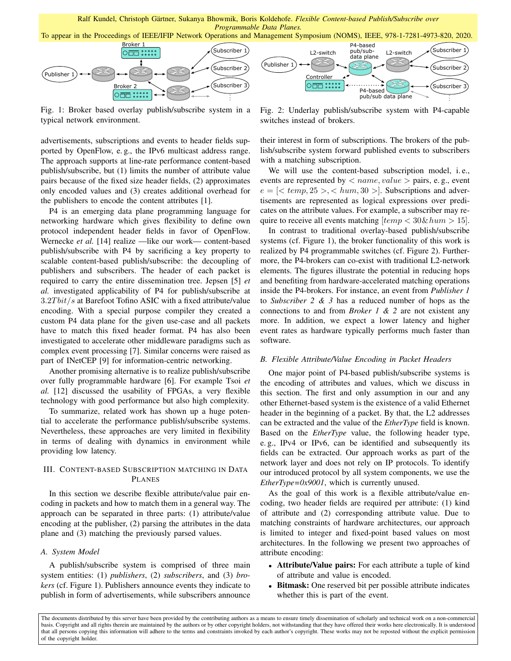



Fig. 1: Broker based overlay publish/subscribe system in a typical network environment.

advertisements, subscriptions and events to header fields supported by OpenFlow, e. g., the IPv6 multicast address range. The approach supports at line-rate performance content-based publish/subscribe, but (1) limits the number of attribute value pairs because of the fixed size header fields, (2) approximates only encoded values and (3) creates additional overhead for the publishers to encode the content attributes [1].

P4 is an emerging data plane programming language for networking hardware which gives flexibility to define own protocol independent header fields in favor of OpenFlow. Wernecke *et al.* [14] realize —like our work— content-based publish/subscribe with P4 by sacrificing a key property to scalable content-based publish/subscribe: the decoupling of publishers and subscribers. The header of each packet is required to carry the entire dissemination tree. Jepsen [5] *et al.* investigated applicability of P4 for publish/subscribe at  $3.2Tbit/s$  at Barefoot Tofino ASIC with a fixed attribute/value encoding. With a special purpose compiler they created a custom P4 data plane for the given use-case and all packets have to match this fixed header format. P4 has also been investigated to accelerate other middleware paradigms such as complex event processing [7]. Similar concerns were raised as part of INetCEP [9] for information-centric networking.

Another promising alternative is to realize publish/subscribe over fully programmable hardware [6]. For example Tsoi *et al.* [12] discussed the usability of FPGAs, a very flexible technology with good performance but also high complexity.

To summarize, related work has shown up a huge potential to accelerate the performance publish/subscribe systems. Nevertheless, these approaches are very limited in flexibility in terms of dealing with dynamics in environment while providing low latency.

# III. CONTENT-BASED SUBSCRIPTION MATCHING IN DATA PLANES

In this section we describe flexible attribute/value pair encoding in packets and how to match them in a general way. The approach can be separated in three parts: (1) attribute/value encoding at the publisher, (2) parsing the attributes in the data plane and (3) matching the previously parsed values.

### *A. System Model*

A publish/subscribe system is comprised of three main system entities: (1) *publishers*, (2) *subscribers*, and (3) *brokers* (cf. Figure 1). Publishers announce events they indicate to publish in form of advertisements, while subscribers announce



Fig. 2: Underlay publish/subscribe system with P4-capable switches instead of brokers.

their interest in form of subscriptions. The brokers of the publish/subscribe system forward published events to subscribers with a matching subscription.

We will use the content-based subscription model, i.e., events are represented by  $\langle$  name, value  $\rangle$  pairs, e.g., event  $e = \{ \textless\textless}\textless\textless\textless}\textless\textless\textless\textless}\textless\textless\textless\textless}\textless\textless\textless}\textless\textless\textless}\textless\textless}\textless\textless}\textless\textless}\textless\textless}\textless}$ tisements are represented as logical expressions over predicates on the attribute values. For example, a subscriber may require to receive all events matching  $[temp < 30\&hum > 15]$ .

In contrast to traditional overlay-based publish/subscribe systems (cf. Figure 1), the broker functionality of this work is realized by P4 programmable switches (cf. Figure 2). Furthermore, the P4-brokers can co-exist with traditional L2-network elements. The figures illustrate the potential in reducing hops and benefiting from hardware-accelerated matching operations inside the P4-brokers. For instance, an event from *Publisher 1* to *Subscriber 2 & 3* has a reduced number of hops as the connections to and from *Broker 1 & 2* are not existent any more. In addition, we expect a lower latency and higher event rates as hardware typically performs much faster than software.

#### *B. Flexible Attribute/Value Encoding in Packet Headers*

One major point of P4-based publish/subscribe systems is the encoding of attributes and values, which we discuss in this section. The first and only assumption in our and any other Ethernet-based system is the existence of a valid Ethernet header in the beginning of a packet. By that, the L2 addresses can be extracted and the value of the *EtherType* field is known. Based on the *EtherType* value, the following header type, e. g., IPv4 or IPv6, can be identified and subsequently its fields can be extracted. Our approach works as part of the network layer and does not rely on IP protocols. To identify our introduced protocol by all system components, we use the *EtherType=0x9001*, which is currently unused.

As the goal of this work is a flexible attribute/value encoding, two header fields are required per attribute: (1) kind of attribute and (2) corresponding attribute value. Due to matching constraints of hardware architectures, our approach is limited to integer and fixed-point based values on most architectures. In the following we present two approaches of attribute encoding:

- Attribute/Value pairs: For each attribute a tuple of kind of attribute and value is encoded.
- Bitmask: One reserved bit per possible attribute indicates whether this is part of the event.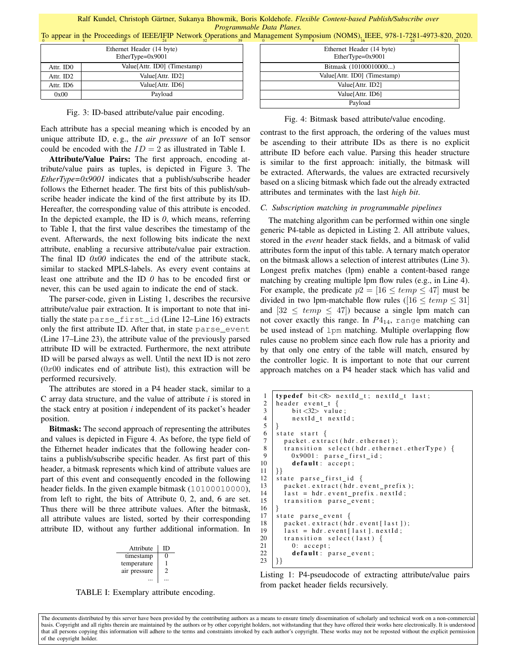To appear in the Proceedings of IEEE/IFIP Network Operations and Management Symposium (NOMS), IEEE, 978-1-7281-4973-820, 2020.

| Ethernet Header (14 byte)<br>EtherType=0x9001 |                              |  |
|-----------------------------------------------|------------------------------|--|
| Attr. ID0                                     | Value[Attr. ID0] (Timestamp) |  |
| Attr. ID2                                     | Value[Attr. ID2]             |  |
| Attr. ID6                                     | Value[Attr. ID6]             |  |
| 0x00                                          | Payload                      |  |

Fig. 3: ID-based attribute/value pair encoding.

Each attribute has a special meaning which is encoded by an unique attribute ID, e. g., the *air pressure* of an IoT sensor could be encoded with the  $ID = 2$  as illustrated in Table I.

Attribute/Value Pairs: The first approach, encoding attribute/value pairs as tuples, is depicted in Figure 3. The *EtherType=0x9001* indicates that a publish/subscribe header follows the Ethernet header. The first bits of this publish/subscribe header indicate the kind of the first attribute by its ID. Hereafter, the corresponding value of this attribute is encoded. In the depicted example, the ID is *0*, which means, referring to Table I, that the first value describes the timestamp of the event. Afterwards, the next following bits indicate the next attribute, enabling a recursive attribute/value pair extraction. The final ID *0x00* indicates the end of the attribute stack, similar to stacked MPLS-labels. As every event contains at least one attribute and the ID *0* has to be encoded first or never, this can be used again to indicate the end of stack.

The parser-code, given in Listing 1, describes the recursive attribute/value pair extraction. It is important to note that initially the state parse\_first\_id (Line 12–Line 16) extracts only the first attribute ID. After that, in state parse\_event (Line 17–Line 23), the attribute value of the previously parsed attribute ID will be extracted. Furthermore, the next attribute ID will be parsed always as well. Until the next ID is not zero  $(0x00)$  indicates end of attribute list), this extraction will be performed recursively.

The attributes are stored in a P4 header stack, similar to a C array data structure, and the value of attribute *i* is stored in the stack entry at position *i* independent of its packet's header position.

Bitmask: The second approach of representing the attributes and values is depicted in Figure 4. As before, the type field of the Ethernet header indicates that the following header contains a publish/subscribe specific header. As first part of this header, a bitmask represents which kind of attribute values are part of this event and consequently encoded in the following header fields. In the given example bitmask (10100010000), from left to right, the bits of Attribute 0, 2, and, 6 are set. Thus there will be three attribute values. After the bitmask, all attribute values are listed, sorted by their corresponding attribute ID, without any further additional information. In

| Attribute    | נוו |
|--------------|-----|
| timestamp    | י   |
| temperature  |     |
| air pressure | 2   |
|              |     |

TABLE I: Exemplary attribute encoding.

| Ethernet Header (14 byte)<br>EtherType=0x9001 |
|-----------------------------------------------|
| Bitmask (10100010000)                         |
| Value[Attr. ID0] (Timestamp)                  |
| Value[Attr. ID2]                              |
| Value[Attr. ID6]                              |
| Payload                                       |

Fig. 4: Bitmask based attribute/value encoding.

contrast to the first approach, the ordering of the values must be ascending to their attribute IDs as there is no explicit attribute ID before each value. Parsing this header structure is similar to the first approach: initially, the bitmask will be extracted. Afterwards, the values are extracted recursively based on a slicing bitmask which fade out the already extracted attributes and terminates with the last *high bit*.

## *C. Subscription matching in programmable pipelines*

The matching algorithm can be performed within one single generic P4-table as depicted in Listing 2. All attribute values, stored in the *event* header stack fields, and a bitmask of valid attributes form the input of this table. A ternary match operator on the bitmask allows a selection of interest attributes (Line 3). Longest prefix matches (lpm) enable a content-based range matching by creating multiple lpm flow rules (e.g., in Line 4). For example, the predicate  $p2 = [16 \leq temp \leq 47]$  must be divided in two lpm-matchable flow rules ([16  $\leq temp \leq 31$ ] and  $[32 \leq temp \leq 47]$ ) because a single lpm match can not cover exactly this range. In  $P4_{14}$ , range matching can be used instead of lpm matching. Multiple overlapping flow rules cause no problem since each flow rule has a priority and by that only one entry of the table will match, ensured by the controller logic. It is important to note that our current approach matches on a P4 header stack which has valid and

```
1 typedef bit \langle 8 \rangle nextId_t; nextId_t last;<br>2 header event t {
 \begin{array}{c|c} 2 \ 3 \end{array} header event t {<br>bit <32> valu
             bit < 32 value;
 4 nextId_t nextId;
 5 }
 \begin{array}{c|c} 6 & \text{state start} \\ 7 & \text{packet. extr} \end{array}packet.extract(hdr.ethernet);
 8 transition select (hdr. ethernet. etherType) {
\begin{array}{c|c} 9 & 0x9001: \text{ parse\_first\_id} ; \\ 10 & \text{default}: \text{ accent}: \end{array}default: accept;
11 |}}
12 state parse_first_id {
13 | packet.extract (hdr.event_prefix);
14 | last = hdr. event_prefix. nextId;
15 | transition parse_event;
16 |17 state parse event {
18 packet. extract (hdr. event [last]);<br>
19 last = hdr. event [last]. nextId;
19 | last = hdr. event [last ]. next Id;<br>20 | transition select (last) {
\begin{array}{c|c} 20 & \text{transition select (last)} \\ 21 & 0 & \text{accept} \end{array}0: accept;22 default: parse_event;
23 | \}
```
Listing 1: P4-pseudocode of extracting attribute/value pairs from packet header fields recursively.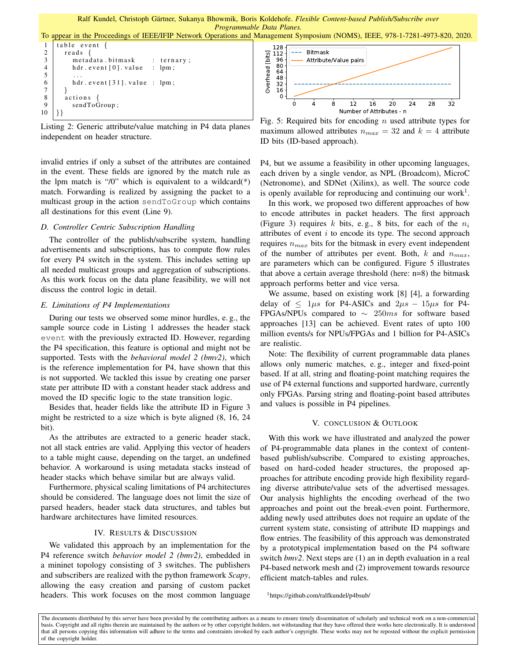To appear in the Proceedings of IEEE/IFIP Network Operations and Management Symposium (NOMS), IEEE, 978-1-7281-4973-820, 2020.

```
1 table event {
 2 reads {
 \begin{array}{c|c}\n3 & \text{metadata bitmask} \\
4 & \text{hot. event [0]. value} \\
\end{array}: ternary;
 \begin{array}{c|c} 4 & \text{hdr. event [0]. value} & \text{: lpm;} \\ 5 & \dots & \end{array}5 ...
 \begin{array}{c|c} 6 & \text{hdr. event [31]. value : lpm;} \\ \hline \end{array}7 }
 \begin{array}{c|c} 8 & \text{actions} \\ 9 & \text{sendTo} \end{array}sendToGroup;
10 |}}
```
Listing 2: Generic attribute/value matching in P4 data planes independent on header structure.

invalid entries if only a subset of the attributes are contained in the event. These fields are ignored by the match rule as the lpm match is "/0" which is equivalent to a wildcard( $*$ ) match. Forwarding is realized by assigning the packet to a multicast group in the action sendToGroup which contains all destinations for this event (Line 9).

#### *D. Controller Centric Subscription Handling*

The controller of the publish/subscribe system, handling advertisements and subscriptions, has to compute flow rules for every P4 switch in the system. This includes setting up all needed multicast groups and aggregation of subscriptions. As this work focus on the data plane feasibility, we will not discuss the control logic in detail.

#### *E. Limitations of P4 Implementations*

During our tests we observed some minor hurdles, e. g., the sample source code in Listing 1 addresses the header stack event with the previously extracted ID. However, regarding the P4 specification, this feature is optional and might not be supported. Tests with the *behavioral model 2 (bmv2)*, which is the reference implementation for P4, have shown that this is not supported. We tackled this issue by creating one parser state per attribute ID with a constant header stack address and moved the ID specific logic to the state transition logic.

Besides that, header fields like the attribute ID in Figure 3 might be restricted to a size which is byte aligned (8, 16, 24 bit).

As the attributes are extracted to a generic header stack, not all stack entries are valid. Applying this vector of headers to a table might cause, depending on the target, an undefined behavior. A workaround is using metadata stacks instead of header stacks which behave similar but are always valid.

Furthermore, physical scaling limitations of P4 architectures should be considered. The language does not limit the size of parsed headers, header stack data structures, and tables but hardware architectures have limited resources.

### IV. RESULTS & DISCUSSION

We validated this approach by an implementation for the P4 reference switch *behavior model 2 (bmv2)*, embedded in a mininet topology consisting of 3 switches. The publishers and subscribers are realized with the python framework *Scapy*, allowing the easy creation and parsing of custom packet headers. This work focuses on the most common language



Fig. 5: Required bits for encoding  $n$  used attribute types for maximum allowed attributes  $n_{max} = 32$  and  $k = 4$  attribute ID bits (ID-based approach).

P4, but we assume a feasibility in other upcoming languages, each driven by a single vendor, as NPL (Broadcom), MicroC (Netronome), and SDNet (Xilinx), as well. The source code is openly available for reproducing and continuing our work<sup>1</sup>.

In this work, we proposed two different approaches of how to encode attributes in packet headers. The first approach (Figure 3) requires k bits, e.g., 8 bits, for each of the  $n_i$ attributes of event  $i$  to encode its type. The second approach requires  $n_{max}$  bits for the bitmask in every event independent of the number of attributes per event. Both,  $k$  and  $n_{max}$ , are parameters which can be configured. Figure 5 illustrates that above a certain average threshold (here: n=8) the bitmask approach performs better and vice versa.

We assume, based on existing work [8] [4], a forwarding delay of  $\leq 1\mu s$  for P4-ASICs and  $2\mu s - 15\mu s$  for P4-FPGAs/NPUs compared to  $\sim$  250ms for software based approaches [13] can be achieved. Event rates of upto 100 million events/s for NPUs/FPGAs and 1 billion for P4-ASICs are realistic.

Note: The flexibility of current programmable data planes allows only numeric matches, e. g., integer and fixed-point based. If at all, string and floating-point matching requires the use of P4 external functions and supported hardware, currently only FPGAs. Parsing string and floating-point based attributes and values is possible in P4 pipelines.

## V. CONCLUSION & OUTLOOK

With this work we have illustrated and analyzed the power of P4-programmable data planes in the context of contentbased publish/subscribe. Compared to existing approaches, based on hard-coded header structures, the proposed approaches for attribute encoding provide high flexibility regarding diverse attribute/value sets of the advertised messages. Our analysis highlights the encoding overhead of the two approaches and point out the break-even point. Furthermore, adding newly used attributes does not require an update of the current system state, consisting of attribute ID mappings and flow entries. The feasibility of this approach was demonstrated by a prototypical implementation based on the P4 software switch *bmv2*. Next steps are (1) an in depth evaluation in a real P4-based network mesh and (2) improvement towards resource efficient match-tables and rules.

#### <sup>1</sup>https://github.com/ralfkundel/p4bsub/

The documents distributed by this server have been provided by the contributing authors as a means to ensure timely dissemination of scholarly and technical work on a non-commercial basis. Copyright and all rights therein are maintained by the authors or by other copyright holders, not withstanding that they have offered their works here electronically. It is understood that all persons copying this information will adhere to the terms and constraints invoked by each author's copyright. These works may not be reposted without the explicit permission of the copyright holder.